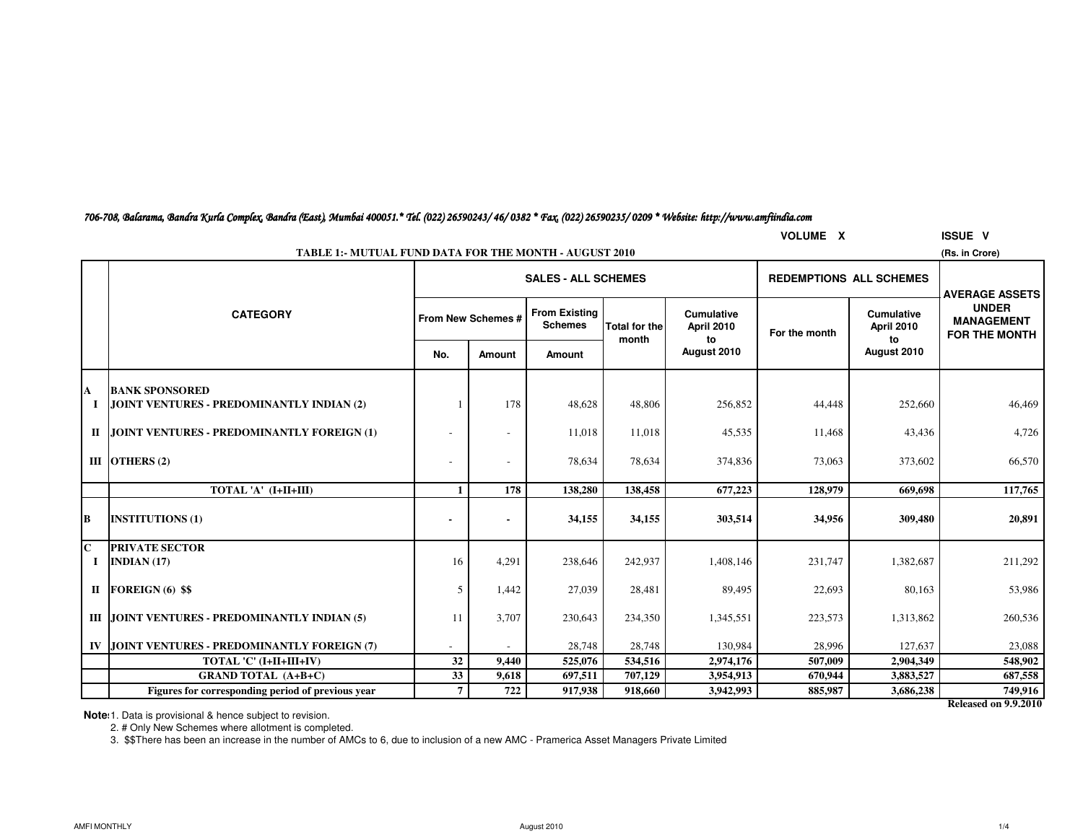| 706-708, Balarama, Bandra Kurla Complex, Bandra (East), Mumbai 400051.* Tel. (022) 26590243/ 46/ 0382 * Fax, (022) 26590235/ 0209 * Website: http://www.amfiindia.com |  |  |  |
|-----------------------------------------------------------------------------------------------------------------------------------------------------------------------|--|--|--|
|-----------------------------------------------------------------------------------------------------------------------------------------------------------------------|--|--|--|

|              | <b>VOLUME X</b><br><b>ISSUE V</b>                                               |                    |        |                                        |                      |                                 |                                |                                 |                                                    |  |  |  |  |
|--------------|---------------------------------------------------------------------------------|--------------------|--------|----------------------------------------|----------------------|---------------------------------|--------------------------------|---------------------------------|----------------------------------------------------|--|--|--|--|
|              | <b>TABLE 1:- MUTUAL FUND DATA FOR THE MONTH - AUGUST 2010</b><br>(Rs. in Crore) |                    |        |                                        |                      |                                 |                                |                                 |                                                    |  |  |  |  |
|              |                                                                                 |                    |        | <b>SALES - ALL SCHEMES</b>             |                      |                                 | <b>REDEMPTIONS ALL SCHEMES</b> |                                 | <b>AVERAGE ASSETS</b>                              |  |  |  |  |
|              | <b>CATEGORY</b>                                                                 | From New Schemes # |        | <b>From Existing</b><br><b>Schemes</b> | <b>Total for the</b> | <b>Cumulative</b><br>April 2010 | For the month                  | <b>Cumulative</b><br>April 2010 | <b>UNDER</b><br><b>MANAGEMENT</b><br>FOR THE MONTH |  |  |  |  |
|              |                                                                                 | No.                | Amount | <b>Amount</b>                          | month                | to<br>August 2010               |                                | to<br>August 2010               |                                                    |  |  |  |  |
| A            | <b>BANK SPONSORED</b>                                                           |                    |        |                                        |                      |                                 |                                |                                 |                                                    |  |  |  |  |
| Ι.           | JOINT VENTURES - PREDOMINANTLY INDIAN (2)                                       |                    | 178    | 48,628                                 | 48,806               | 256,852                         | 44,448                         | 252,660                         | 46,469                                             |  |  |  |  |
| $\mathbf{I}$ | JOINT VENTURES - PREDOMINANTLY FOREIGN (1)                                      |                    |        | 11,018                                 | 11,018               | 45,535                          | 11,468                         | 43,436                          | 4,726                                              |  |  |  |  |
|              | III OTHERS $(2)$                                                                |                    |        | 78,634                                 | 78,634               | 374,836                         | 73,063                         | 373,602                         | 66,570                                             |  |  |  |  |
|              | TOTAL 'A' (I+II+III)                                                            |                    | 178    | 138,280                                | 138,458              | 677,223                         | 128,979                        | 669,698                         | 117,765                                            |  |  |  |  |
| B            | <b>INSTITUTIONS (1)</b>                                                         |                    |        | 34,155                                 | 34,155               | 303,514                         | 34,956                         | 309,480                         | 20,891                                             |  |  |  |  |
| $\mathbf{C}$ | <b>PRIVATE SECTOR</b><br>INDIAN $(17)$                                          | 16                 | 4,291  | 238,646                                | 242,937              | 1,408,146                       | 231,747                        | 1,382,687                       | 211,292                                            |  |  |  |  |
|              | II FOREIGN $(6)$ \$\$                                                           | 5                  | 1,442  | 27,039                                 | 28,481               | 89,495                          | 22,693                         | 80,163                          | 53,986                                             |  |  |  |  |
|              | III JOINT VENTURES - PREDOMINANTLY INDIAN (5)                                   | 11                 | 3,707  | 230,643                                | 234,350              | 1,345,551                       | 223,573                        | 1,313,862                       | 260,536                                            |  |  |  |  |
|              | IV JOINT VENTURES - PREDOMINANTLY FOREIGN (7)                                   |                    |        | 28,748                                 | 28,748               | 130,984                         | 28,996                         | 127,637                         | 23,088                                             |  |  |  |  |
|              | TOTAL 'C' (I+II+III+IV)                                                         | 32                 | 9,440  | 525,076                                | 534,516              | 2,974,176                       | 507,009                        | 2,904,349                       | 548,902                                            |  |  |  |  |
|              | <b>GRAND TOTAL (A+B+C)</b>                                                      | 33                 | 9,618  | 697,511                                | 707,129              | 3,954,913                       | 670,944                        | 3,883,527                       | 687,558                                            |  |  |  |  |
|              | Figures for corresponding period of previous year                               | $\overline{7}$     | 722    | 917,938                                | 918,660              | 3,942,993                       | 885,987                        | 3,686,238                       | 749,916                                            |  |  |  |  |

**Released on 9.9.2010**

**Note:** 1. Data is provisional & hence subject to revision.

2. # Only New Schemes where allotment is completed.

3. \$\$There has been an increase in the number of AMCs to 6, due to inclusion of a new AMC - Pramerica Asset Managers Private Limited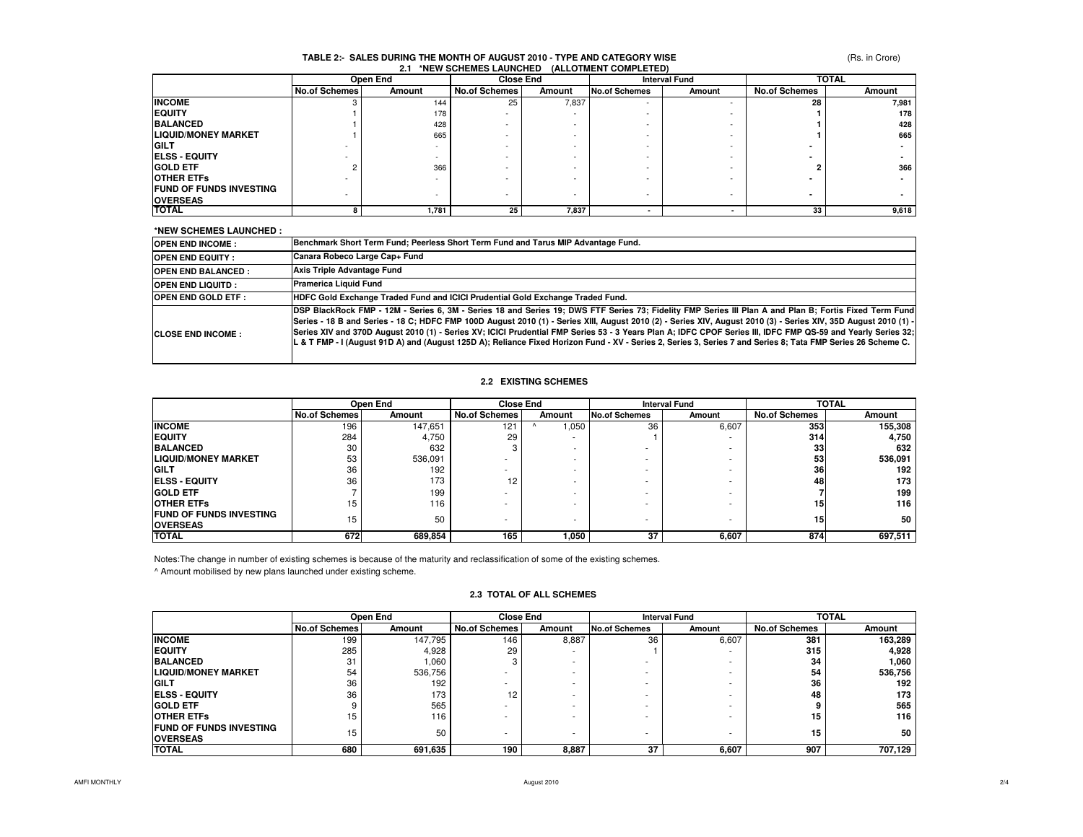#### **TABLE 2:- SALES DURING THE MONTH OF AUGUST 2010 - TYPE AND CATEGORY WISE2.1 \*NEW SCHEMES LAUNCHED (ALLOTMENT COMPLETED)**

|                                | Open End             |        |                          | <b>Close End</b> |                      | <b>Interval Fund</b> |                      | <b>TOTAL</b> |  |
|--------------------------------|----------------------|--------|--------------------------|------------------|----------------------|----------------------|----------------------|--------------|--|
|                                | <b>No.of Schemes</b> | Amount | <b>No.of Schemes</b>     | Amount           | <b>No.of Schemes</b> | Amount               | <b>No.of Schemes</b> | Amount       |  |
| <b>INCOME</b>                  |                      | 144    | 25                       | 7,837            | <b>.</b>             |                      | 28                   | 7,981        |  |
| <b>EQUITY</b>                  |                      | 178    | $\sim$                   |                  |                      |                      |                      | 178          |  |
| <b>BALANCED</b>                |                      | 428    |                          |                  |                      |                      |                      | 428          |  |
| <b>LIQUID/MONEY MARKET</b>     |                      | 665    |                          |                  |                      |                      |                      | 665          |  |
| <b>GILT</b>                    |                      |        |                          |                  |                      |                      |                      |              |  |
| <b>ELSS - EQUITY</b>           |                      |        |                          |                  |                      |                      |                      |              |  |
| <b>GOLD ETF</b>                |                      | 366    |                          |                  |                      |                      |                      | 366          |  |
| <b>OTHER ETFS</b>              |                      |        |                          |                  |                      |                      |                      |              |  |
| <b>FUND OF FUNDS INVESTING</b> |                      |        |                          |                  |                      |                      |                      |              |  |
| <b>OVERSEAS</b>                |                      |        | $\overline{\phantom{0}}$ |                  |                      |                      |                      |              |  |
| <b>TOTAL</b>                   |                      | 1,781  | 25                       | 7,837            |                      |                      | 33                   | 9,618        |  |

### **\*NEW SCHEMES LAUNCHED :**

| <b>OPEN END INCOME:</b>   | Benchmark Short Term Fund; Peerless Short Term Fund and Tarus MIP Advantage Fund.                                                                                                                                                                                                                                                                                                                                                                                                                                                                                                                                                                          |
|---------------------------|------------------------------------------------------------------------------------------------------------------------------------------------------------------------------------------------------------------------------------------------------------------------------------------------------------------------------------------------------------------------------------------------------------------------------------------------------------------------------------------------------------------------------------------------------------------------------------------------------------------------------------------------------------|
| <b>OPEN END EQUITY:</b>   | Canara Robeco Large Cap+ Fund                                                                                                                                                                                                                                                                                                                                                                                                                                                                                                                                                                                                                              |
| <b>OPEN END BALANCED:</b> | Axis Triple Advantage Fund                                                                                                                                                                                                                                                                                                                                                                                                                                                                                                                                                                                                                                 |
| <b>OPEN END LIQUITD:</b>  | Pramerica Liquid Fund                                                                                                                                                                                                                                                                                                                                                                                                                                                                                                                                                                                                                                      |
| <b>OPEN END GOLD ETF:</b> | HDFC Gold Exchange Traded Fund and ICICI Prudential Gold Exchange Traded Fund.                                                                                                                                                                                                                                                                                                                                                                                                                                                                                                                                                                             |
| <b>CLOSE END INCOME:</b>  | DSP BlackRock FMP - 12M - Series 6, 3M - Series 18 and Series 19; DWS FTF Series 73; Fidelity FMP Series III Plan A and Plan B; Fortis Fixed Term Fund<br>Series - 18 B and Series - 18 C; HDFC FMP 100D August 2010 (1) - Series XIII, August 2010 (2) - Series XIV, August 2010 (3) - Series XIV, 35D August 2010 (1) -<br> Series XIV and 370D August 2010 (1) - Series XV; ICICI Prudential FMP Series 53 - 3 Years Plan A; IDFC CPOF Series III, IDFC FMP QS-59 and Yearly Series 32;<br>L & T FMP - I (August 91D A) and (August 125D A); Reliance Fixed Horizon Fund - XV - Series 2, Series 3, Series 7 and Series 8; Tata FMP Series 26 Scheme C. |

### **2.2 EXISTING SCHEMES**

|                                                    | Open End             |         |                      | <b>Close End</b>         |                      | <b>Interval Fund</b> |                      | <b>TOTAL</b> |  |
|----------------------------------------------------|----------------------|---------|----------------------|--------------------------|----------------------|----------------------|----------------------|--------------|--|
|                                                    | <b>No.of Schemes</b> | Amount  | <b>No.of Schemes</b> | Amount                   | <b>No.of Schemes</b> | Amount               | <b>No.of Schemes</b> | Amount       |  |
| <b>INCOME</b>                                      | 196                  | 147.651 | 121                  | 0.050                    | 36                   | 6,607                | 353                  | 155,308      |  |
| <b>EQUITY</b>                                      | 284                  | 4,750   | 29                   |                          |                      |                      | 314                  | 4,750        |  |
| <b>BALANCED</b>                                    | 30                   | 632     |                      | $\overline{\phantom{a}}$ |                      |                      | 33                   | 632          |  |
| <b>LIQUID/MONEY MARKET</b>                         | 53                   | 536,091 |                      | $\sim$                   |                      |                      | 53                   | 536,091      |  |
| <b>GILT</b>                                        | 36                   | 192     |                      | $\overline{\phantom{a}}$ | ۰                    |                      | 36                   | 192          |  |
| <b>IELSS - EQUITY</b>                              | 36                   | 173     | 12                   | $\overline{\phantom{a}}$ | ۰                    |                      | 48                   | 173          |  |
| <b>GOLD ETF</b>                                    |                      | 199     | ۰                    | $\sim$                   | ۰                    |                      |                      | 199          |  |
| <b>OTHER ETFS</b>                                  | 15                   | 116     |                      | $\sim$                   | ۰                    |                      | 15                   | 116          |  |
| <b>IFUND OF FUNDS INVESTING</b><br><b>OVERSEAS</b> | 15                   | 50      | -                    | $\overline{\phantom{a}}$ |                      |                      | 15                   | 50           |  |
| <b>TOTAL</b>                                       | 672                  | 689,854 | 165                  | ,050                     | 37                   | 6,607                | 874                  | 697,511      |  |

Notes:The change in number of existing schemes is because of the maturity and reclassification of some of the existing schemes.

^ Amount mobilised by new plans launched under existing scheme.

### **2.3 TOTAL OF ALL SCHEMES**

|                                                   |                      | <b>Close End</b><br>Open End |                      | <b>Interval Fund</b> |                      | <b>TOTAL</b> |                      |         |
|---------------------------------------------------|----------------------|------------------------------|----------------------|----------------------|----------------------|--------------|----------------------|---------|
|                                                   | <b>No.of Schemes</b> | Amount                       | <b>No.of Schemes</b> | Amount               | <b>No.of Schemes</b> | Amount       | <b>No.of Schemes</b> | Amount  |
| <b>INCOME</b>                                     | 199                  | 147.795                      | 146                  | 8,887                | 36                   | 6,607        | 381                  | 163,289 |
| <b>EQUITY</b>                                     | 285                  | 4,928                        | 29                   |                      |                      |              | 315                  | 4,928   |
| <b>BALANCED</b>                                   | 31                   | 1.060                        |                      |                      |                      |              | 34                   | 1,060   |
| <b>LIQUID/MONEY MARKET</b>                        | 54                   | 536,756                      |                      |                      |                      |              | 54                   | 536,756 |
| <b>GILT</b>                                       | 36                   | 192                          |                      |                      |                      |              | 36                   | 192     |
| <b>ELSS - EQUITY</b>                              | 36                   | 173                          | 12                   |                      |                      |              | 48                   | 173     |
| <b>GOLD ETF</b>                                   | 9                    | 565                          |                      |                      |                      |              | 9                    | 565     |
| <b>OTHER ETFS</b>                                 | 15                   | 116                          |                      |                      |                      |              | 15                   | 116     |
| <b>FUND OF FUNDS INVESTING</b><br><b>OVERSEAS</b> | 15                   | 50                           |                      |                      |                      |              | 15                   | 50      |
| <b>TOTAL</b>                                      | 680                  | 691,635                      | 190                  | 8,887                | 37                   | 6,607        | 907                  | 707,129 |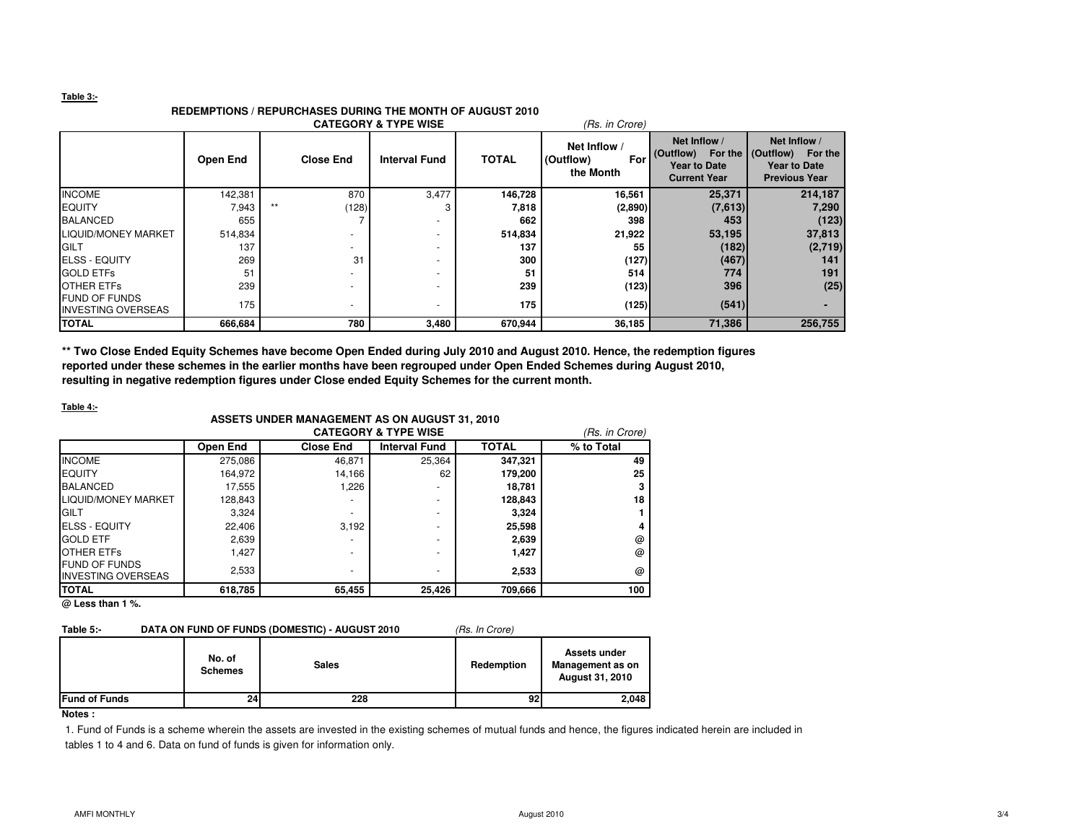### **Table 3:-**

## **REDEMPTIONS / REPURCHASES DURING THE MONTH OF AUGUST 2010**

|                                                   |          |       |                          | <b>CATEGORY &amp; TYPE WISE</b> |              | (Rs. in Crore)                              |                                                                         |                                                                                            |
|---------------------------------------------------|----------|-------|--------------------------|---------------------------------|--------------|---------------------------------------------|-------------------------------------------------------------------------|--------------------------------------------------------------------------------------------|
|                                                   | Open End |       | <b>Close End</b>         | <b>Interval Fund</b>            | <b>TOTAL</b> | Net Inflow<br>For<br>(Outflow)<br>the Month | Net Inflow /<br>(Outflow)<br><b>Year to Date</b><br><b>Current Year</b> | Net Inflow /<br>For the   (Outflow) For the<br><b>Year to Date</b><br><b>Previous Year</b> |
| <b>INCOME</b>                                     | 142,381  |       | 870                      | 3,477                           | 146,728      | 16,561                                      | 25,371                                                                  | 214,187                                                                                    |
| <b>IEQUITY</b>                                    | 7,943    | $***$ | (128)                    |                                 | 7,818        | (2,890)                                     | (7,613)                                                                 | 7,290                                                                                      |
| <b>BALANCED</b>                                   | 655      |       |                          | ۰                               | 662          | 398                                         | 453                                                                     | (123)                                                                                      |
| LIQUID/MONEY MARKET                               | 514,834  |       |                          |                                 | 514,834      | 21,922                                      | 53,195                                                                  | 37,813                                                                                     |
| <b>IGILT</b>                                      | 137      |       | -                        | ۰                               | 137          | 55                                          | (182)                                                                   | (2,719)                                                                                    |
| <b>ELSS - EQUITY</b>                              | 269      |       | 31                       | ۰                               | 300          | (127)                                       | (467)                                                                   | 141                                                                                        |
| <b>GOLD ETFS</b>                                  | 51       |       |                          |                                 | 51           | 514                                         | 774                                                                     | 191                                                                                        |
| <b>OTHER ETFS</b>                                 | 239      |       |                          | ۰                               | 239          | (123)                                       | 396                                                                     | (25)                                                                                       |
| <b>FUND OF FUNDS</b><br><b>INVESTING OVERSEAS</b> | 175      |       | $\overline{\phantom{a}}$ |                                 | 175          | (125)                                       | (541)                                                                   |                                                                                            |
| <b>TOTAL</b>                                      | 666,684  |       | 780                      | 3,480                           | 670,944      | 36,185                                      | 71,386                                                                  | 256,755                                                                                    |

**\*\* Two Close Ended Equity Schemes have become Open Ended during July 2010 and August 2010. Hence, the redemption figures reported under these schemes in the earlier months have been regrouped under Open Ended Schemes during August 2010, resulting in negative redemption figures under Close ended Equity Schemes for the current month.**

### **Table 4:-**

### **ASSETS UNDER MANAGEMENT AS ON AUGUST 31, 2010**

|                             |          |                  | <b>CATEGORY &amp; TYPE WISE</b> |              | (Rs. in Crore) |
|-----------------------------|----------|------------------|---------------------------------|--------------|----------------|
|                             | Open End | <b>Close End</b> | <b>Interval Fund</b>            | <b>TOTAL</b> | % to Total     |
| <b>INCOME</b>               | 275,086  | 46,871           | 25,364                          | 347,321      | 49             |
| <b>EQUITY</b>               | 164.972  | 14,166           | 62                              | 179,200      | 25             |
| <b>BALANCED</b>             | 17,555   | 1,226            | ۰                               | 18,781       |                |
| <b>ILIQUID/MONEY MARKET</b> | 128.843  |                  |                                 | 128,843      | 18             |
| GILT                        | 3,324    |                  | ۰                               | 3.324        |                |
| <b>ELSS - EQUITY</b>        | 22.406   | 3,192            | ۰                               | 25,598       |                |
| <b>GOLD ETF</b>             | 2,639    |                  |                                 | 2,639        | @              |
| <b>OTHER ETFS</b>           | 1,427    |                  | ۰                               | 1,427        | @              |
| <b>FUND OF FUNDS</b>        | 2,533    |                  | -                               | 2,533        | @              |
| <b>INVESTING OVERSEAS</b>   |          |                  |                                 |              |                |
| <b>TOTAL</b>                | 618,785  | 65,455           | 25,426                          | 709,666      | 100            |

**@ Less than 1 %.**

### Table 5:- DATA ON FUND OF FUNDS (DOMESTIC) - AUGUST 2010 (Rs. In Crore)

|                      | No. of<br><b>Schemes</b> | <b>Sales</b> | Redemption | Assets under<br>Management as on<br><b>August 31, 2010</b> |
|----------------------|--------------------------|--------------|------------|------------------------------------------------------------|
| <b>Fund of Funds</b> | 24                       | 228          | 92         | 2,048                                                      |
|                      |                          |              |            |                                                            |

**Notes :**

1. Fund of Funds is a scheme wherein the assets are invested in the existing schemes of mutual funds and hence, the figures indicated herein are included in tables 1 to 4 and 6. Data on fund of funds is given for information only.